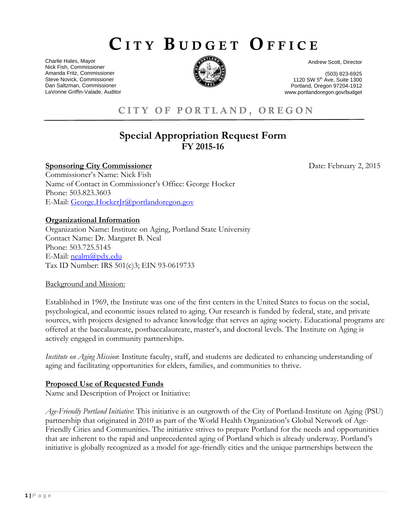Charlie Hales, Mayor Nick Fish, Commissioner Amanda Fritz, Commissioner Steve Novick, Commissioner Dan Saltzman, Commissioner LaVonne Griffin-Valade, Auditor



Andrew Scott, Director

 (503) 823-6925 1120 SW 5th Ave, Suite 1300 Portland, Oregon 97204-1912 www.portlandoregon.gov/budget

CITY OF PORTLAND, OREGON

# **Special Appropriation Request Form FY 2015-16**

**Sponsoring City Commissioner Date: February 2, 2015** 

Commissioner's Name: Nick Fish Name of Contact in Commissioner's Office: George Hocker Phone: 503.823.3603 E-Mail: George.HockerJr@portlandoregon.gov

### **Organizational Information**

Organization Name: Institute on Aging, Portland State University Contact Name: Dr. Margaret B. Neal Phone: 503.725.5145 E-Mail: nealm@pdx.edu Tax ID Number: IRS 501(c)3; EIN 93-0619733

#### Background and Mission:

Established in 1969, the Institute was one of the first centers in the United States to focus on the social, psychological, and economic issues related to aging. Our research is funded by federal, state, and private sources, with projects designed to advance knowledge that serves an aging society. Educational programs are offered at the baccalaureate, postbaccalaureate, master's, and doctoral levels. The Institute on Aging is actively engaged in community partnerships.

*Institute on Aging Mission*: Institute faculty, staff, and students are dedicated to enhancing understanding of aging and facilitating opportunities for elders, families, and communities to thrive.

# **Proposed Use of Requested Funds**

Name and Description of Project or Initiative:

*Age-Friendly Portland Initiative*: This initiative is an outgrowth of the City of Portland-Institute on Aging (PSU) partnership that originated in 2010 as part of the World Health Organization's Global Network of Age-Friendly Cities and Communities. The initiative strives to prepare Portland for the needs and opportunities that are inherent to the rapid and unprecedented aging of Portland which is already underway. Portland's initiative is globally recognized as a model for age-friendly cities and the unique partnerships between the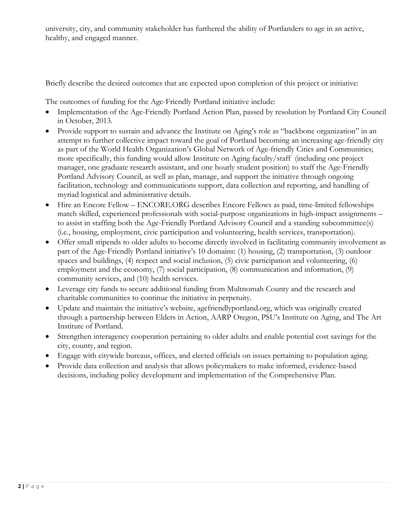university, city, and community stakeholder has furthered the ability of Portlanders to age in an active, healthy, and engaged manner.

Briefly describe the desired outcomes that are expected upon completion of this project or initiative:

The outcomes of funding for the Age-Friendly Portland initiative include:

- Implementation of the Age-Friendly Portland Action Plan, passed by resolution by Portland City Council in October, 2013.
- Provide support to sustain and advance the Institute on Aging's role as "backbone organization" in an attempt to further collective impact toward the goal of Portland becoming an increasing age-friendly city as part of the World Health Organization's Global Network of Age-friendly Cities and Communities; more specifically, this funding would allow Institute on Aging faculty/staff (including one project manager, one graduate research assistant, and one hourly student position) to staff the Age-Friendly Portland Advisory Council, as well as plan, manage, and support the initiative through ongoing facilitation, technology and communications support, data collection and reporting, and handling of myriad logistical and administrative details.
- Hire an Encore Fellow ENCORE.ORG describes Encore Fellows as paid, time-limited fellowships match skilled, experienced professionals with social-purpose organizations in high-impact assignments – to assist in staffing both the Age-Friendly Portland Advisory Council and a standing subcommittee(s) (i.e., housing, employment, civic participation and volunteering, health services, transportation).
- Offer small stipends to older adults to become directly involved in facilitating community involvement as part of the Age-Friendly Portland initiative's 10 domains: (1) housing, (2) transportation, (3) outdoor spaces and buildings, (4) respect and social inclusion, (5) civic participation and volunteering, (6) employment and the economy, (7) social participation, (8) communication and information, (9) community services, and (10) health services.
- Leverage city funds to secure additional funding from Multnomah County and the research and charitable communities to continue the initiative in perpetuity.
- Update and maintain the initiative's website, agefriendlyportland.org, which was originally created through a partnership between Elders in Action, AARP Oregon, PSU's Institute on Aging, and The Art Institute of Portland.
- Strengthen interagency cooperation pertaining to older adults and enable potential cost savings for the city, county, and region.
- Engage with citywide bureaus, offices, and elected officials on issues pertaining to population aging.
- Provide data collection and analysis that allows policymakers to make informed, evidence-based decisions, including policy development and implementation of the Comprehensive Plan.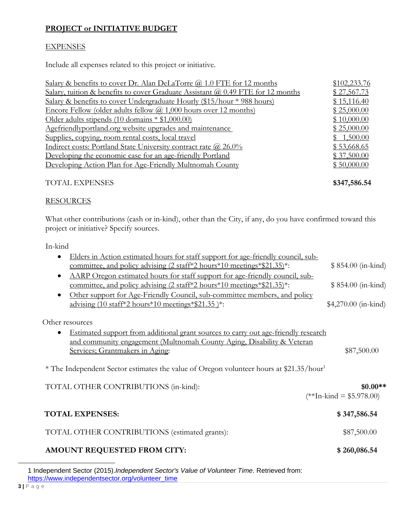# **EXPENSES**

Include all expenses related to this project or initiative.

| Salary & benefits to cover Dr. Alan DeLaTorre @ 1.0 FTE for 12 months           | \$102,233.76 |
|---------------------------------------------------------------------------------|--------------|
| Salary, tuition & benefits to cover Graduate Assistant @ 0.49 FTE for 12 months | \$27,567.73  |
| Salary & benefits to cover Undergraduate Hourly (\$15/hour * 988 hours)         | \$15,116.40  |
| Encore Fellow (older adults fellow $(a)$ 1,000 hours over 12 months)            | \$25,000.00  |
| Older adults stipends (10 domains * \$1,000.00)                                 | \$10,000.00  |
| Agefriendlyportland.org website upgrades and maintenance                        | \$25,000.00  |
| Supplies, copying, room rental costs, local travel                              | \$1,500.00   |
| Indirect costs: Portland State University contract rate @ 26.0%                 | \$53,668.65  |
| Developing the economic case for an age-friendly Portland                       | \$37,500.00  |
| Developing Action Plan for Age-Friendly Multnomah County                        | \$50,000.00  |
|                                                                                 |              |

TOTAL EXPENSES **\$347,586.54**

### RESOURCES

What other contributions (cash or in-kind), other than the City, if any, do you have confirmed toward this project or initiative? Specify sources.

In-kind

| Elders in Action estimated hours for staff support for age-friendly council, sub-<br>committee, and policy advising (2 staff*2 hours*10 meetings*\$21.35)*:                                                                                                                                                                                                          | $$854.00$ (in-kind)                          |
|----------------------------------------------------------------------------------------------------------------------------------------------------------------------------------------------------------------------------------------------------------------------------------------------------------------------------------------------------------------------|----------------------------------------------|
| AARP Oregon estimated hours for staff support for age-friendly council, sub-<br>$\bullet$<br>committee, and policy advising (2 staff*2 hours*10 meetings*\$21.35)*:<br>Other support for Age-Friendly Council, sub-committee members, and policy<br>$\bullet$<br>advising $(10 \text{ staff} \times 2 \text{ hours} \times 10 \text{ meetings} \times 21.35) \times$ | $$854.00$ (in-kind)<br>$$4,270.00$ (in-kind) |
| Other resources                                                                                                                                                                                                                                                                                                                                                      |                                              |
| <u>Estimated support from additional grant sources to carry out age-friendly research</u><br>and community engagement (Multnomah County Aging, Disability & Veteran<br>Services; Grantmakers in Aging:<br>* The Independent Sector estimates the value of Oregon volunteer hours at \$21.35/hour <sup>1</sup>                                                        | \$87,500.00                                  |
|                                                                                                                                                                                                                                                                                                                                                                      |                                              |
| TOTAL OTHER CONTRIBUTIONS (in-kind):                                                                                                                                                                                                                                                                                                                                 | $$0.00**$$<br>$(**In-kind = $5.978.00)$      |
| <b>TOTAL EXPENSES:</b>                                                                                                                                                                                                                                                                                                                                               | \$347,586.54                                 |
| TOTAL OTHER CONTRIBUTIONS (estimated grants):                                                                                                                                                                                                                                                                                                                        | \$87,500.00                                  |
| AMOUNT REQUESTED FROM CITY:                                                                                                                                                                                                                                                                                                                                          | \$260,086.54                                 |

 <sup>1</sup> Independent Sector (2015).*Independent Sector's Value of Volunteer Time*. Retrieved from: https://www.independentsector.org/volunteer\_time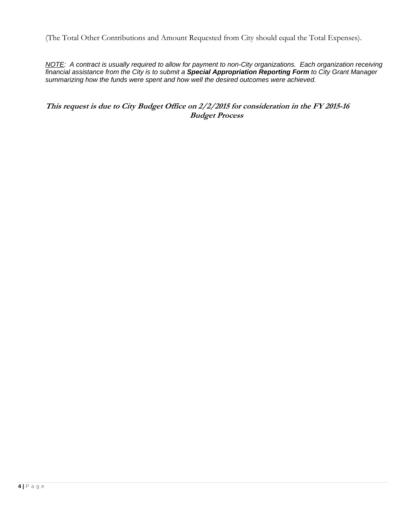(The Total Other Contributions and Amount Requested from City should equal the Total Expenses).

*NOTE: A contract is usually required to allow for payment to non-City organizations. Each organization receiving financial assistance from the City is to submit a Special Appropriation Reporting Form to City Grant Manager summarizing how the funds were spent and how well the desired outcomes were achieved.*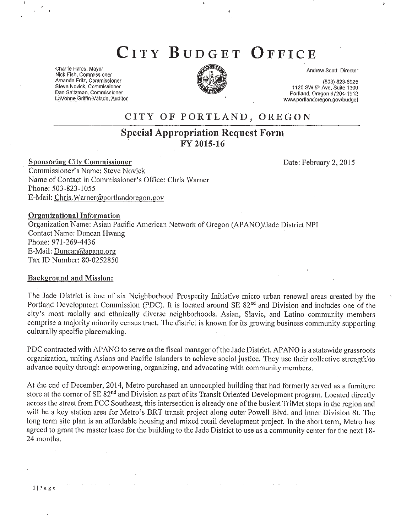Charlie Hales, Mayor Nick Fish, Commissioner Amanda Fritz, Commissioner Steve Novick, Commissioner Dan Saltzman, Commissioner LaVonne Griffin-Valade, Auditor



Andrew Scott, Director

(503) 823-6925 1120 SW 5<sup>th</sup> Ave, Suite 1300 Portland, Oregon 97204-1912 www.portlandoregon.gov/budget

Date: February 2, 2015

# CITY OF PORTLAND, OREGON

# **Special Appropriation Request Form** FY 2015-16

**Sponsoring City Commissioner** Commissioner's Name: Steve Novick Name of Contact in Commissioner's Office: Chris Warner Phone: 503-823-1055 E-Mail: Chris.Warner@portlandoregon.gov

#### Organizational Information

Organization Name: Asian Pacific American Network of Oregon (APANO)/Jade District NPI Contact Name: Duncan Hwang Phone: 971-269-4436 E-Mail: Duncan@apano.org Tax ID Number: 80-0252850

#### **Background and Mission:**

The Jade District is one of six Neighborhood Prosperity Initiative micro urban renewal areas created by the Portland Development Commission (PDC). It is located around SE 82<sup>nd</sup> and Division and includes one of the city's most racially and ethnically diverse neighborhoods. Asian, Slavic, and Latino community members comprise a majority minority census tract. The district is known for its growing business community supporting culturally specific placemaking.

PDC contracted with APANO to serve as the fiscal manager of the Jade District. APANO is a statewide grassroots organization, uniting Asians and Pacific Islanders to achieve social justice. They use their collective strength\to advance equity through empowering, organizing, and advocating with community members.

At the end of December, 2014, Metro purchased an unoccupied building that had formerly served as a furniture store at the corner of SE 82<sup>nd</sup> and Division as part of its Transit Oriented Development program. Located directly across the street from PCC Southeast, this intersection is already one of the busiest TriMet stops in the region and will be a key station area for Metro's BRT transit project along outer Powell Blvd, and inner Division St. The long term site plan is an affordable housing and mixed retail development project. In the short term, Metro has agreed to grant the master lease for the building to the Jade District to use as a community center for the next 18-24 months.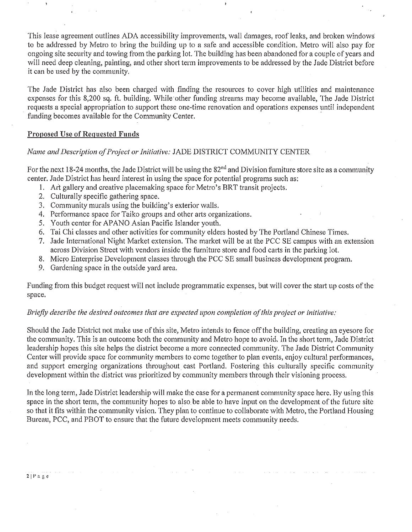This lease agreement outlines ADA accessibility improvements, wall damages, roof leaks, and broken windows to be addressed by Metro to bring the building up to a safe and accessible condition. Metro will also pay for ongoing site security and towing from the parking lot. The building has been abandoned for a couple of years and will need deep cleaning, painting, and other short term improvements to be addressed by the Jade District before it can be used by the community.

The Jade District has also been charged with finding the resources to cover high utilities and maintenance expenses for this 8,200 sq. ft. building. While other funding streams may become available, The Jade District requests a special appropriation to support these one-time renovation and operations expenses until independent funding becomes available for the Community Center.

#### **Proposed Use of Requested Funds**

#### Name and Description of Project or Initiative: JADE DISTRICT COMMUNITY CENTER

For the next 18-24 months, the Jade District will be using the  $82<sup>nd</sup>$  and Division furniture store site as a community center. Jade District has heard interest in using the space for potential programs such as:

- 1. Art gallery and creative placemaking space for Metro's BRT transit projects.
- 2. Culturally specific gathering space.
- 3. Community murals using the building's exterior walls.
- 4. Performance space for Taiko groups and other arts organizations.
- 5. Youth center for APANO Asian Pacific Islander youth.
- 6. Tai Chi classes and other activities for community elders hosted by The Portland Chinese Times.
- 7. Jade International Night Market extension. The market will be at the PCC SE campus with an extension across Division Street with vendors inside the furniture store and food carts in the parking lot.
- 8. Micro Enterprise Development classes through the PCC SE small business development program.
- 9. Gardening space in the outside yard area.

Funding from this budget request will not include programmatic expenses, but will cover the start up costs of the space.

#### Briefly describe the desired outcomes that are expected upon completion of this project or initiative:

Should the Jade District not make use of this site, Metro intends to fence off the building, creating an eyesore for the community. This is an outcome both the community and Metro hope to avoid. In the short term, Jade District leadership hopes this site helps the district become a more connected community. The Jade District Community Center will provide space for community members to come together to plan events, enjoy cultural performances, and support emerging organizations throughout east Portland. Fostering this culturally specific community development within the district was prioritized by community members through their visioning process.

In the long term, Jade District leadership will make the case for a permanent community space here. By using this space in the short term, the community hopes to also be able to have input on the development of the future site so that it fits within the community vision. They plan to continue to collaborate with Metro, the Portland Housing Bureau, PCC, and PBOT to ensure that the future development meets community needs.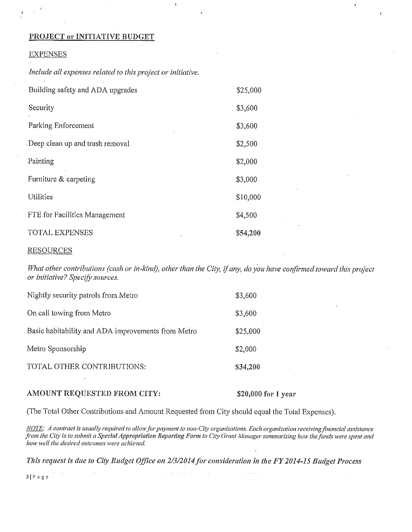#### **EXPENSES**

Include all expenses related to this project or initiative.

| Building safety and ADA upgrades | \$25,000 |
|----------------------------------|----------|
| Security                         | \$3,600  |
| Parking Enforcement              | \$3,600  |
| Deep clean up and trash removal  | \$2,500  |
| Painting                         | \$2,000  |
| Furniture & carpeting            | \$3,000  |
| Utilities                        | \$10,000 |
| FTE for Facilities Management    | \$4,500  |
| <b>TOTAL EXPENSES</b>            | \$54,200 |

#### **RESOURCES**

What other contributions (cash or in-kind), other than the City, if any, do you have confirmed toward this project or initiative? Specify sources.

| Nightly security patrols from Metro                | \$3,600  |
|----------------------------------------------------|----------|
| On call towing from Metro                          | \$3,600  |
| Basic habitability and ADA improvements from Metro | \$25,000 |
| Metro Sponsorship                                  | \$2,000  |
| TOTAL OTHER CONTRIBUTIONS:                         | \$34,200 |

#### AMOUNT REQUESTED FROM CITY:

\$20,000 for 1 year

(The Total Other Contributions and Amount Requested from City should equal the Total Expenses).

NOTE: A contract is usually required to allow for payment to non-City organizations. Each organization receiving financial assistance from the City is to submit a Special Appropriation Reporting Form to City Grant Manager summarizing how the funds were spent and how well the desired outcomes were achieved.

This request is due to City Budget Office on 2/3/2014 for consideration in the FY 2014-15 Budget Process

 $3 | P a g e$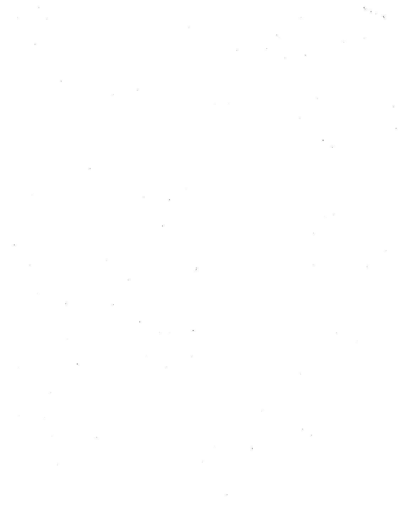$\begin{aligned} \mathcal{R}_{\text{eff}} & = \frac{1}{2} \sum_{\substack{\mathbf{q} \in \mathcal{Q} \\ \mathbf{q} \in \mathcal{Q} \\ \mathbf{q} \in \mathcal{Q}}} \mathcal{R}_{\text{eff}} & = \frac{1}{2} \sum_{\substack{\mathbf{q} \in \mathcal{Q} \\ \mathbf{q} \in \mathcal{Q} \\ \mathbf{q} \in \mathcal{Q} \\ \mathbf{q} \in \mathcal{Q} \end{aligned}}$  $\label{eq:2.1} \frac{1}{\sqrt{2}}\left(\frac{1}{\sqrt{2}}\right)^{2} \left(\frac{1}{\sqrt{2}}\right)^{2} \left(\frac{1}{\sqrt{2}}\right)^{2} \left(\frac{1}{\sqrt{2}}\right)^{2} \left(\frac{1}{\sqrt{2}}\right)^{2} \left(\frac{1}{\sqrt{2}}\right)^{2} \left(\frac{1}{\sqrt{2}}\right)^{2} \left(\frac{1}{\sqrt{2}}\right)^{2} \left(\frac{1}{\sqrt{2}}\right)^{2} \left(\frac{1}{\sqrt{2}}\right)^{2} \left(\frac{1}{\sqrt{2}}\right)^{2} \left(\$ 

 $\label{eq:2.1} \frac{1}{\sqrt{2}}\int_{\mathbb{R}^3}\frac{1}{\sqrt{2}}\left(\frac{1}{\sqrt{2}}\right)^2\frac{1}{\sqrt{2}}\left(\frac{1}{\sqrt{2}}\right)^2\frac{1}{\sqrt{2}}\left(\frac{1}{\sqrt{2}}\right)^2\frac{1}{\sqrt{2}}\left(\frac{1}{\sqrt{2}}\right)^2.$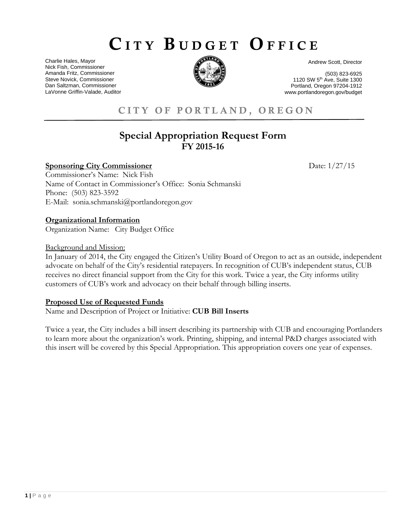Charlie Hales, Mayor Nick Fish, Commissioner Amanda Fritz, Commissioner Steve Novick, Commissioner Dan Saltzman, Commissioner LaVonne Griffin-Valade, Auditor



Andrew Scott, Director

 (503) 823-6925 1120 SW 5th Ave, Suite 1300 Portland, Oregon 97204-1912 www.portlandoregon.gov/budget

CITY OF PORTLAND, OREGON

# **Special Appropriation Request Form FY 2015-16**

**Sponsoring City Commissioner** Date:  $1/27/15$ 

Commissioner's Name: Nick Fish Name of Contact in Commissioner's Office: Sonia Schmanski Phone: (503) 823-3592 E-Mail: sonia.schmanski@portlandoregon.gov

# **Organizational Information**

Organization Name: City Budget Office

#### Background and Mission:

In January of 2014, the City engaged the Citizen's Utility Board of Oregon to act as an outside, independent advocate on behalf of the City's residential ratepayers. In recognition of CUB's independent status, CUB receives no direct financial support from the City for this work. Twice a year, the City informs utility customers of CUB's work and advocacy on their behalf through billing inserts.

#### **Proposed Use of Requested Funds**

Name and Description of Project or Initiative: **CUB Bill Inserts**

Twice a year, the City includes a bill insert describing its partnership with CUB and encouraging Portlanders to learn more about the organization's work. Printing, shipping, and internal P&D charges associated with this insert will be covered by this Special Appropriation. This appropriation covers one year of expenses.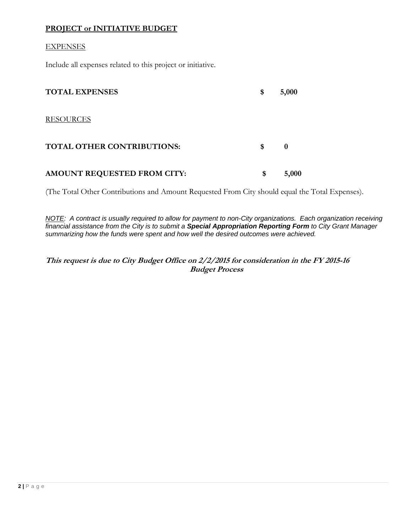#### **EXPENSES**

Include all expenses related to this project or initiative.

| <b>TOTAL EXPENSES</b>             | \$<br>5,000 |
|-----------------------------------|-------------|
| <b>RESOURCES</b>                  |             |
| <b>TOTAL OTHER CONTRIBUTIONS:</b> | \$<br>0     |
| AMOUNT REQUESTED FROM CITY:       | \$<br>5,000 |

(The Total Other Contributions and Amount Requested From City should equal the Total Expenses).

*NOTE: A contract is usually required to allow for payment to non-City organizations. Each organization receiving financial assistance from the City is to submit a Special Appropriation Reporting Form to City Grant Manager summarizing how the funds were spent and how well the desired outcomes were achieved.*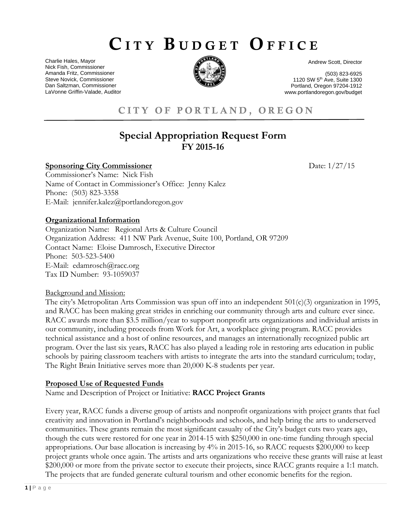Charlie Hales, Mayor Nick Fish, Commissioner Amanda Fritz, Commissioner Steve Novick, Commissioner Dan Saltzman, Commissioner LaVonne Griffin-Valade, Auditor



Andrew Scott, Director

 (503) 823-6925 1120 SW 5th Ave, Suite 1300 Portland, Oregon 97204-1912 www.portlandoregon.gov/budget

CITY OF PORTLAND, OREGON

# **Special Appropriation Request Form FY 2015-16**

**Sponsoring City Commissioner** Date:  $1/27/15$ 

Commissioner's Name: Nick Fish Name of Contact in Commissioner's Office: Jenny Kalez Phone: (503) 823-3358 E-Mail: jennifer.kalez@portlandoregon.gov

# **Organizational Information**

Organization Name: Regional Arts & Culture Council Organization Address: 411 NW Park Avenue, Suite 100, Portland, OR 97209 Contact Name: Eloise Damrosch, Executive Director Phone: 503-523-5400 E-Mail: edamrosch@racc.org Tax ID Number: 93-1059037

# Background and Mission:

The city's Metropolitan Arts Commission was spun off into an independent 501(c)(3) organization in 1995, and RACC has been making great strides in enriching our community through arts and culture ever since. RACC awards more than \$3.5 million/year to support nonprofit arts organizations and individual artists in our community, including proceeds from Work for Art, a workplace giving program. RACC provides technical assistance and a host of online resources, and manages an internationally recognized public art program. Over the last six years, RACC has also played a leading role in restoring arts education in public schools by pairing classroom teachers with artists to integrate the arts into the standard curriculum; today, The Right Brain Initiative serves more than 20,000 K-8 students per year.

# **Proposed Use of Requested Funds**

Name and Description of Project or Initiative: **RACC Project Grants**

Every year, RACC funds a diverse group of artists and nonprofit organizations with project grants that fuel creativity and innovation in Portland's neighborhoods and schools, and help bring the arts to underserved communities. These grants remain the most significant casualty of the City's budget cuts two years ago, though the cuts were restored for one year in 2014-15 with \$250,000 in one-time funding through special appropriations. Our base allocation is increasing by 4% in 2015-16, so RACC requests \$200,000 to keep project grants whole once again. The artists and arts organizations who receive these grants will raise at least \$200,000 or more from the private sector to execute their projects, since RACC grants require a 1:1 match. The projects that are funded generate cultural tourism and other economic benefits for the region.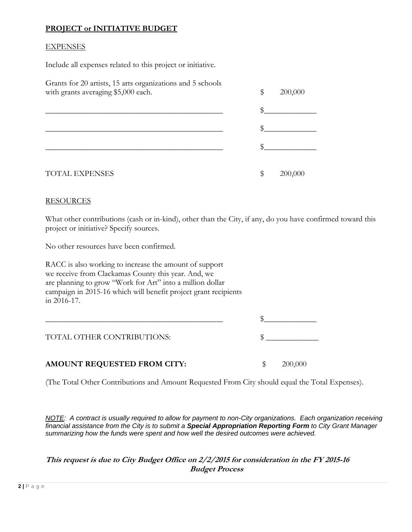### **EXPENSES**

Include all expenses related to this project or initiative.

| Grants for 20 artists, 15 arts organizations and 5 schools<br>with grants averaging \$5,000 each. | \$ | 200,000 |
|---------------------------------------------------------------------------------------------------|----|---------|
|                                                                                                   |    |         |
|                                                                                                   |    |         |
|                                                                                                   |    |         |
| TOTAL EXPENSES                                                                                    |    | 200,000 |

### RESOURCES

What other contributions (cash or in-kind), other than the City, if any, do you have confirmed toward this project or initiative? Specify sources.

No other resources have been confirmed.

RACC is also working to increase the amount of support we receive from Clackamas County this year. And, we are planning to grow "Work for Art" into a million dollar campaign in 2015-16 which will benefit project grant recipients in 2016-17.

| TOTAL OTHER CONTRIBUTIONS:  |         |  |
|-----------------------------|---------|--|
| AMOUNT REQUESTED FROM CITY: | 200,000 |  |

(The Total Other Contributions and Amount Requested From City should equal the Total Expenses).

*NOTE: A contract is usually required to allow for payment to non-City organizations. Each organization receiving financial assistance from the City is to submit a Special Appropriation Reporting Form to City Grant Manager summarizing how the funds were spent and how well the desired outcomes were achieved.*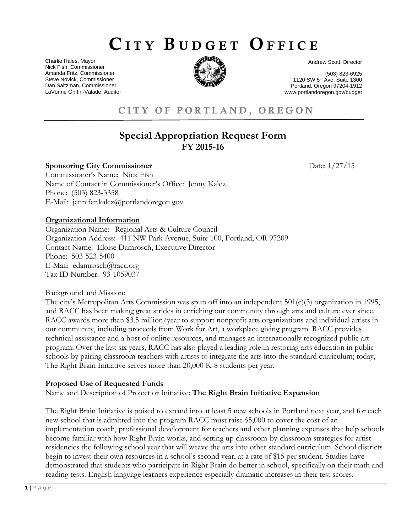Charlie Hales, Mayor Nick Fish, Commissioner Amanda Fritz, Commissioner Steve Novick, Commissioner Dan Saltzman, Commissioner LaVonne Griffin-Valade, Auditor



Andrew Scott, Director

 (503) 823-6925 1120 SW 5th Ave, Suite 1300 Portland, Oregon 97204-1912 www.portlandoregon.gov/budget

CITY OF PORTLAND, OREGON

# **Special Appropriation Request Form FY 2015-16**

**Sponsoring City Commissioner** Date:  $1/27/15$ 

Commissioner's Name: Nick Fish Name of Contact in Commissioner's Office: Jenny Kalez Phone: (503) 823-3358 E-Mail: jennifer.kalez@portlandoregon.gov

# **Organizational Information**

Organization Name: Regional Arts & Culture Council Organization Address: 411 NW Park Avenue, Suite 100, Portland, OR 97209 Contact Name: Eloise Damrosch, Executive Director Phone: 503-523-5400 E-Mail: edamrosch@racc.org Tax ID Number: 93-1059037

# Background and Mission:

The city's Metropolitan Arts Commission was spun off into an independent 501(c)(3) organization in 1995, and RACC has been making great strides in enriching our community through arts and culture ever since. RACC awards more than \$3.5 million/year to support nonprofit arts organizations and individual artists in our community, including proceeds from Work for Art, a workplace giving program. RACC provides technical assistance and a host of online resources, and manages an internationally recognized public art program. Over the last six years, RACC has also played a leading role in restoring arts education in public schools by pairing classroom teachers with artists to integrate the arts into the standard curriculum; today, The Right Brain Initiative serves more than 20,000 K-8 students per year.

# **Proposed Use of Requested Funds**

Name and Description of Project or Initiative: **The Right Brain Initiative Expansion**

The Right Brain Initiative is poised to expand into at least 5 new schools in Portland next year, and for each new school that is admitted into the program RACC must raise \$5,000 to cover the cost of an implementation coach, professional development for teachers and other planning expenses that help schools become familiar with how Right Brain works, and setting up classroom-by-classroom strategies for artist residencies the following school year that will weave the arts into other standard curriculum. School districts begin to invest their own resources in a school's second year, at a rate of \$15 per student. Studies have demonstrated that students who participate in Right Brain do better in school, specifically on their math and reading tests. English language learners experience especially dramatic increases in their test scores.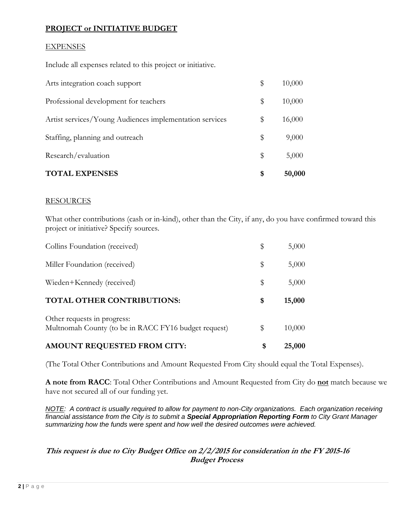#### **EXPENSES**

Include all expenses related to this project or initiative.

| <b>TOTAL EXPENSES</b>                                   | \$<br>50,000 |
|---------------------------------------------------------|--------------|
| Research/evaluation                                     | \$<br>5,000  |
| Staffing, planning and outreach                         | \$<br>9,000  |
| Artist services/Young Audiences implementation services | \$<br>16,000 |
| Professional development for teachers                   | \$<br>10,000 |
| Arts integration coach support                          | \$<br>10,000 |

#### RESOURCES

What other contributions (cash or in-kind), other than the City, if any, do you have confirmed toward this project or initiative? Specify sources.

| AMOUNT REQUESTED FROM CITY:                                                         | \$<br>25,000 |
|-------------------------------------------------------------------------------------|--------------|
| Other requests in progress:<br>Multnomah County (to be in RACC FY16 budget request) | \$<br>10,000 |
| TOTAL OTHER CONTRIBUTIONS:                                                          | \$<br>15,000 |
| Wieden+Kennedy (received)                                                           | \$<br>5,000  |
| Miller Foundation (received)                                                        | \$<br>5,000  |
| Collins Foundation (received)                                                       | \$<br>5,000  |

(The Total Other Contributions and Amount Requested From City should equal the Total Expenses).

**A note from RACC**: Total Other Contributions and Amount Requested from City do **not** match because we have not secured all of our funding yet.

*NOTE: A contract is usually required to allow for payment to non-City organizations. Each organization receiving financial assistance from the City is to submit a Special Appropriation Reporting Form to City Grant Manager summarizing how the funds were spent and how well the desired outcomes were achieved.*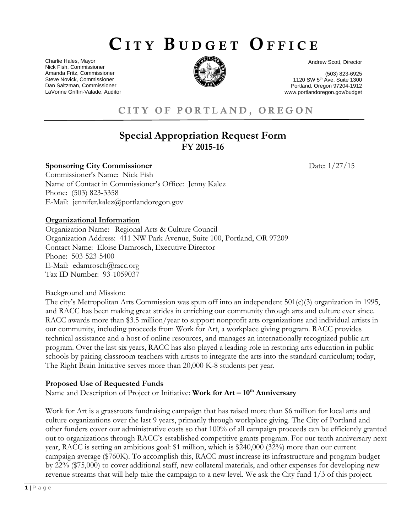Charlie Hales, Mayor Nick Fish, Commissioner Amanda Fritz, Commissioner Steve Novick, Commissioner Dan Saltzman, Commissioner LaVonne Griffin-Valade, Auditor



Andrew Scott, Director

 (503) 823-6925 1120 SW 5th Ave, Suite 1300 Portland, Oregon 97204-1912 www.portlandoregon.gov/budget

CITY OF PORTLAND, OREGON

# **Special Appropriation Request Form FY 2015-16**

**Sponsoring City Commissioner** Date:  $1/27/15$ 

Commissioner's Name: Nick Fish Name of Contact in Commissioner's Office: Jenny Kalez Phone: (503) 823-3358 E-Mail: jennifer.kalez@portlandoregon.gov

# **Organizational Information**

Organization Name: Regional Arts & Culture Council Organization Address: 411 NW Park Avenue, Suite 100, Portland, OR 97209 Contact Name: Eloise Damrosch, Executive Director Phone: 503-523-5400 E-Mail: edamrosch@racc.org Tax ID Number: 93-1059037

# Background and Mission:

The city's Metropolitan Arts Commission was spun off into an independent 501(c)(3) organization in 1995, and RACC has been making great strides in enriching our community through arts and culture ever since. RACC awards more than \$3.5 million/year to support nonprofit arts organizations and individual artists in our community, including proceeds from Work for Art, a workplace giving program. RACC provides technical assistance and a host of online resources, and manages an internationally recognized public art program. Over the last six years, RACC has also played a leading role in restoring arts education in public schools by pairing classroom teachers with artists to integrate the arts into the standard curriculum; today, The Right Brain Initiative serves more than 20,000 K-8 students per year.

# **Proposed Use of Requested Funds**

Name and Description of Project or Initiative: Work for Art – 10<sup>th</sup> Anniversary

Work for Art is a grassroots fundraising campaign that has raised more than \$6 million for local arts and culture organizations over the last 9 years, primarily through workplace giving. The City of Portland and other funders cover our administrative costs so that 100% of all campaign proceeds can be efficiently granted out to organizations through RACC's established competitive grants program. For our tenth anniversary next year, RACC is setting an ambitious goal: \$1 million, which is \$240,000 (32%) more than our current campaign average (\$760K). To accomplish this, RACC must increase its infrastructure and program budget by 22% (\$75,000) to cover additional staff, new collateral materials, and other expenses for developing new revenue streams that will help take the campaign to a new level. We ask the City fund 1/3 of this project.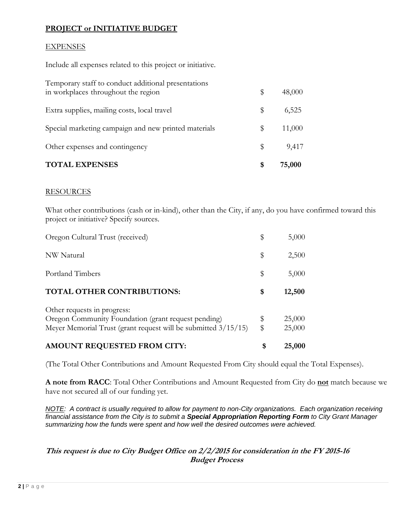### **EXPENSES**

Include all expenses related to this project or initiative.

| <b>TOTAL EXPENSES</b>                                                                      |    | 75,000 |
|--------------------------------------------------------------------------------------------|----|--------|
| Other expenses and contingency                                                             | ₩  | 9,417  |
| Special marketing campaign and new printed materials                                       | S  | 11,000 |
| Extra supplies, mailing costs, local travel                                                | S  | 6,525  |
| Temporary staff to conduct additional presentations<br>in workplaces throughout the region | \$ | 48,000 |

#### RESOURCES

What other contributions (cash or in-kind), other than the City, if any, do you have confirmed toward this project or initiative? Specify sources.

| AMOUNT REQUESTED FROM CITY:                                                        |             | 25,000 |
|------------------------------------------------------------------------------------|-------------|--------|
| Meyer Memorial Trust (grant request will be submitted 3/15/15)                     | $\mathbf S$ | 25,000 |
| Other requests in progress:<br>Oregon Community Foundation (grant request pending) | \$          | 25,000 |
| <b>TOTAL OTHER CONTRIBUTIONS:</b>                                                  | S           | 12,500 |
| Portland Timbers                                                                   | \$          | 5,000  |
| NW Natural                                                                         | \$          | 2,500  |
| Oregon Cultural Trust (received)                                                   |             | 5,000  |

(The Total Other Contributions and Amount Requested From City should equal the Total Expenses).

**A note from RACC**: Total Other Contributions and Amount Requested from City do **not** match because we have not secured all of our funding yet.

*NOTE: A contract is usually required to allow for payment to non-City organizations. Each organization receiving financial assistance from the City is to submit a Special Appropriation Reporting Form to City Grant Manager summarizing how the funds were spent and how well the desired outcomes were achieved.*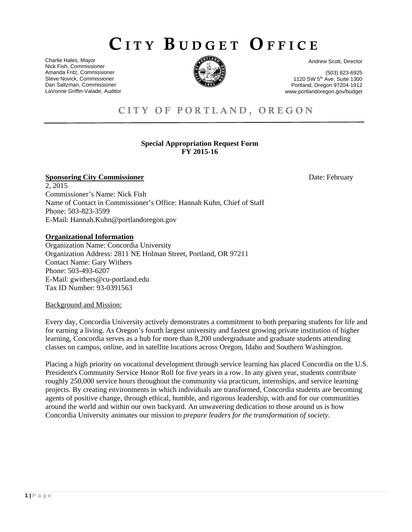Charlie Hales, Mayor Nick Fish, Commissioner Amanda Fritz, Commissioner Steve Novick, Commissioner Dan Saltzman, Commissioner LaVonne Griffin-Valade, Auditor



Andrew Scott, Director

 (503) 823-6925 1120 SW 5th Ave, Suite 1300 Portland, Oregon 97204-1912 www.portlandoregon.gov/budget

CITY OF PORTLAND, OREGON

#### **Special Appropriation Request Form FY 2015-16**

#### **Sponsoring City Commissioner and Sponsoring City Commissioner and Sponsoring City Commissioner**

2, 2015 Commissioner's Name: Nick Fish Name of Contact in Commissioner's Office: Hannah Kuhn, Chief of Staff Phone: 503-823-3599 E-Mail: Hannah.Kuhn@portlandoregon.gov

#### **Organizational Information**

Organization Name: Concordia University Organization Address: 2811 NE Holman Street, Portland, OR 97211 Contact Name: Gary Withers Phone: 503-493-6207 E-Mail: gwithers@cu-portland.edu Tax ID Number: 93-0391563

#### Background and Mission:

Every day, Concordia University actively demonstrates a commitment to both preparing students for life and for earning a living. As Oregon's fourth largest university and fastest growing private institution of higher learning, Concordia serves as a hub for more than 8,200 undergraduate and graduate students attending classes on campus, online, and in satellite locations across Oregon, Idaho and Southern Washington.

Placing a high priority on vocational development through service learning has placed Concordia on the U.S. President's Community Service Honor Roll for five years in a row. In any given year, students contribute roughly 250,000 service hours throughout the community via practicum, internships, and service learning projects. By creating environments in which individuals are transformed, Concordia students are becoming agents of positive change, through ethical, humble, and rigorous leadership, with and for our communities around the world and within our own backyard. An unwavering dedication to those around us is how Concordia University animates our mission to *prepare leaders for the transformation of society*.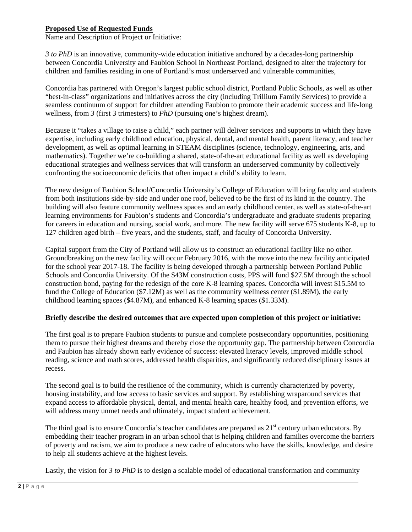#### **Proposed Use of Requested Funds**

Name and Description of Project or Initiative:

*3 to PhD* is an innovative, community-wide education initiative anchored by a decades-long partnership between Concordia University and Faubion School in Northeast Portland, designed to alter the trajectory for children and families residing in one of Portland's most underserved and vulnerable communities,

Concordia has partnered with Oregon's largest public school district, Portland Public Schools, as well as other "best-in-class" organizations and initiatives across the city (including Trillium Family Services) to provide a seamless continuum of support for children attending Faubion to promote their academic success and life-long wellness, from 3 (first 3 trimesters) to *PhD* (pursuing one's highest dream).

Because it "takes a village to raise a child," each partner will deliver services and supports in which they have expertise, including early childhood education, physical, dental, and mental health, parent literacy, and teacher development, as well as optimal learning in STEAM disciplines (science, technology, engineering, arts, and mathematics). Together we're co-building a shared, state-of-the-art educational facility as well as developing educational strategies and wellness services that will transform an underserved community by collectively confronting the socioeconomic deficits that often impact a child's ability to learn.

The new design of Faubion School/Concordia University's College of Education will bring faculty and students from both institutions side-by-side and under one roof, believed to be the first of its kind in the country. The building will also feature community wellness spaces and an early childhood center, as well as state-of-the-art learning environments for Faubion's students and Concordia's undergraduate and graduate students preparing for careers in education and nursing, social work, and more. The new facility will serve 675 students K-8, up to 127 children aged birth – five years, and the students, staff, and faculty of Concordia University.

Capital support from the City of Portland will allow us to construct an educational facility like no other. Groundbreaking on the new facility will occur February 2016, with the move into the new facility anticipated for the school year 2017-18. The facility is being developed through a partnership between Portland Public Schools and Concordia University. Of the \$43M construction costs, PPS will fund \$27.5M through the school construction bond, paying for the redesign of the core K-8 learning spaces. Concordia will invest \$15.5M to fund the College of Education (\$7.12M) as well as the community wellness center (\$1.89M), the early childhood learning spaces (\$4.87M), and enhanced K-8 learning spaces (\$1.33M).

#### **Briefly describe the desired outcomes that are expected upon completion of this project or initiative:**

The first goal is to prepare Faubion students to pursue and complete postsecondary opportunities, positioning them to pursue their highest dreams and thereby close the opportunity gap. The partnership between Concordia and Faubion has already shown early evidence of success: elevated literacy levels, improved middle school reading, science and math scores, addressed health disparities, and significantly reduced disciplinary issues at recess.

The second goal is to build the resilience of the community, which is currently characterized by poverty, housing instability, and low access to basic services and support. By establishing wraparound services that expand access to affordable physical, dental, and mental health care, healthy food, and prevention efforts, we will address many unmet needs and ultimately, impact student achievement.

The third goal is to ensure Concordia's teacher candidates are prepared as  $21<sup>st</sup>$  century urban educators. By embedding their teacher program in an urban school that is helping children and families overcome the barriers of poverty and racism, we aim to produce a new cadre of educators who have the skills, knowledge, and desire to help all students achieve at the highest levels.

Lastly, the vision for *3 to PhD* is to design a scalable model of educational transformation and community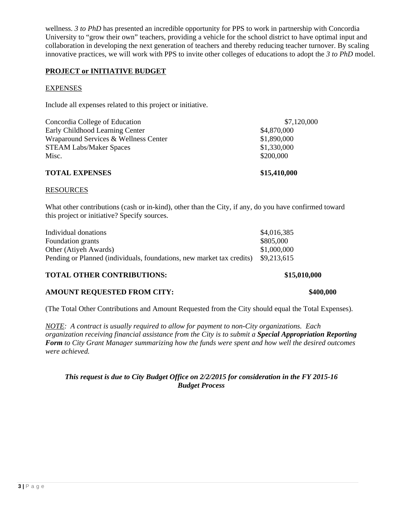wellness. *3 to PhD* has presented an incredible opportunity for PPS to work in partnership with Concordia University to "grow their own" teachers, providing a vehicle for the school district to have optimal input and collaboration in developing the next generation of teachers and thereby reducing teacher turnover. By scaling innovative practices, we will work with PPS to invite other colleges of educations to adopt the *3 to PhD* model.

#### **PROJECT or INITIATIVE BUDGET**

#### EXPENSES

Include all expenses related to this project or initiative.

| <b>TOTAL EXPENSES</b>                 | \$15,410,000 |
|---------------------------------------|--------------|
| Misc.                                 | \$200,000    |
| <b>STEAM Labs/Maker Spaces</b>        | \$1,330,000  |
| Wraparound Services & Wellness Center | \$1,890,000  |
| Early Childhood Learning Center       | \$4,870,000  |
| Concordia College of Education        | \$7,120,000  |

#### RESOURCES

What other contributions (cash or in-kind), other than the City, if any, do you have confirmed toward this project or initiative? Specify sources.

| Individual donations                                                  | \$4,016,385 |
|-----------------------------------------------------------------------|-------------|
| Foundation grants                                                     | \$805,000   |
| Other (Atiyeh Awards)                                                 | \$1,000,000 |
| Pending or Planned (individuals, foundations, new market tax credits) | \$9,213,615 |

#### **TOTAL OTHER CONTRIBUTIONS: \$15,010,000**

# **AMOUNT REQUESTED FROM CITY: \$400,000**

(The Total Other Contributions and Amount Requested from the City should equal the Total Expenses).

*NOTE: A contract is usually required to allow for payment to non-City organizations. Each organization receiving financial assistance from the City is to submit a Special Appropriation Reporting Form to City Grant Manager summarizing how the funds were spent and how well the desired outcomes were achieved.*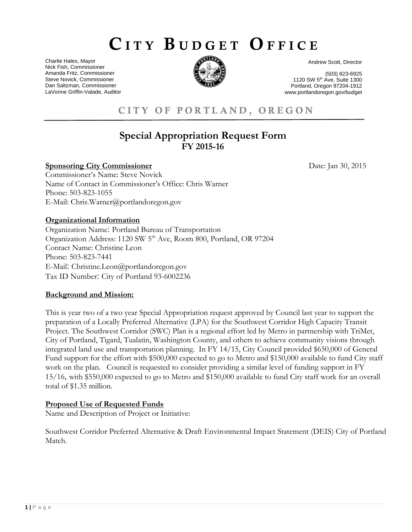Charlie Hales, Mayor Nick Fish, Commissioner Amanda Fritz, Commissioner Steve Novick, Commissioner Dan Saltzman, Commissioner LaVonne Griffin-Valade, Auditor



Andrew Scott, Director

 (503) 823-6925 1120 SW 5th Ave, Suite 1300 Portland, Oregon 97204-1912 www.portlandoregon.gov/budget

CITY OF PORTLAND, OREGON

# **Special Appropriation Request Form FY 2015-16**

**Sponsoring City Commissioner Date:** Jan 30, 2015

Commissioner's Name: Steve Novick Name of Contact in Commissioner's Office: Chris Warner Phone: 503-823-1055 E-Mail: Chris.Warner@portlandoregon.gov

### **Organizational Information**

Organization Name: Portland Bureau of Transportation Organization Address: 1120 SW 5<sup>th</sup> Ave, Room 800, Portland, OR 97204 Contact Name: Christine Leon Phone: 503-823-7441 E-Mail: Christine.Leon@portlandoregon.gov Tax ID Number: City of Portland 93-6002236

# **Background and Mission:**

This is year two of a two year Special Appropriation request approved by Council last year to support the preparation of a Locally Preferred Alternative (LPA) for the Southwest Corridor High Capacity Transit Project. The Southwest Corridor (SWC) Plan is a regional effort led by Metro in partnership with TriMet, City of Portland, Tigard, Tualatin, Washington County, and others to achieve community visions through integrated land use and transportation planning. In FY 14/15, City Council provided \$650,000 of General Fund support for the effort with \$500,000 expected to go to Metro and \$150,000 available to fund City staff work on the plan. Council is requested to consider providing a similar level of funding support in FY 15/16, with \$550,000 expected to go to Metro and \$150,000 available to fund City staff work for an overall total of \$1.35 million.

# **Proposed Use of Requested Funds**

Name and Description of Project or Initiative:

Southwest Corridor Preferred Alternative & Draft Environmental Impact Statement (DEIS) City of Portland Match.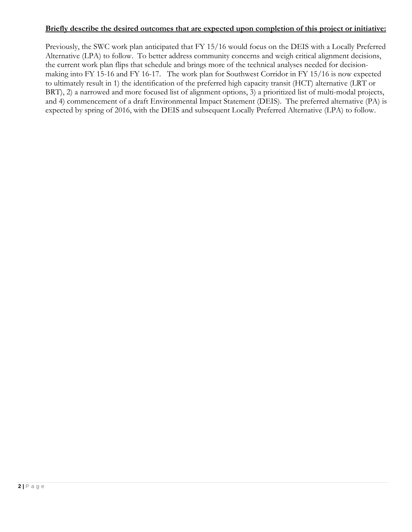#### **Briefly describe the desired outcomes that are expected upon completion of this project or initiative:**

Previously, the SWC work plan anticipated that FY 15/16 would focus on the DEIS with a Locally Preferred Alternative (LPA) to follow. To better address community concerns and weigh critical alignment decisions, the current work plan flips that schedule and brings more of the technical analyses needed for decisionmaking into FY 15-16 and FY 16-17. The work plan for Southwest Corridor in FY 15/16 is now expected to ultimately result in 1) the identification of the preferred high capacity transit (HCT) alternative (LRT or BRT), 2) a narrowed and more focused list of alignment options, 3) a prioritized list of multi-modal projects, and 4) commencement of a draft Environmental Impact Statement (DEIS). The preferred alternative (PA) is expected by spring of 2016, with the DEIS and subsequent Locally Preferred Alternative (LPA) to follow.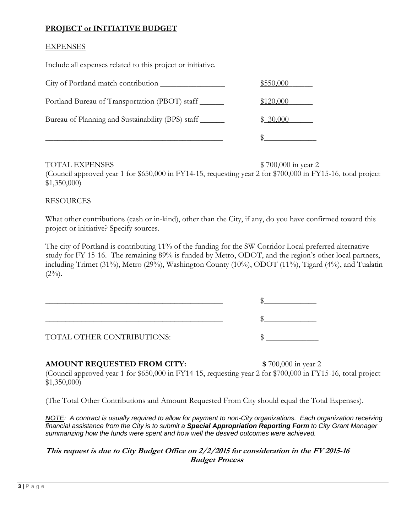#### EXPENSES

Include all expenses related to this project or initiative.

| City of Portland match contribution                       | \$550,000 |
|-----------------------------------------------------------|-----------|
| Portland Bureau of Transportation (PBOT) staff _______    | \$120,000 |
| Bureau of Planning and Sustainability (BPS) staff _______ | \$ 30,000 |
|                                                           |           |

#### TOTAL EXPENSES  $$700,000$  in year 2

(Council approved year 1 for \$650,000 in FY14-15, requesting year 2 for \$700,000 in FY15-16, total project \$1,350,000)

#### RESOURCES

What other contributions (cash or in-kind), other than the City, if any, do you have confirmed toward this project or initiative? Specify sources.

The city of Portland is contributing 11% of the funding for the SW Corridor Local preferred alternative study for FY 15-16. The remaining 89% is funded by Metro, ODOT, and the region's other local partners, including Trimet (31%), Metro (29%), Washington County (10%), ODOT (11%), Tigard (4%), and Tualatin  $(2\%)$ .

| TOTAL OTHER CONTRIBUTIONS: |  |
|----------------------------|--|

### **AMOUNT REQUESTED FROM CITY: \$** 700,000 in year 2

(Council approved year 1 for \$650,000 in FY14-15, requesting year 2 for \$700,000 in FY15-16, total project \$1,350,000)

(The Total Other Contributions and Amount Requested From City should equal the Total Expenses).

*NOTE: A contract is usually required to allow for payment to non-City organizations. Each organization receiving financial assistance from the City is to submit a Special Appropriation Reporting Form to City Grant Manager summarizing how the funds were spent and how well the desired outcomes were achieved.*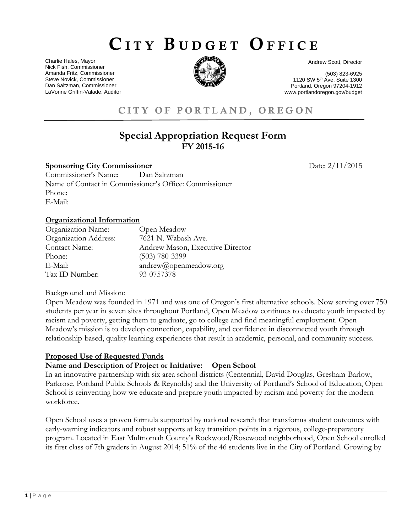Charlie Hales, Mayor Nick Fish, Commissioner Amanda Fritz, Commissioner Steve Novick, Commissioner Dan Saltzman, Commissioner LaVonne Griffin-Valade, Auditor



Andrew Scott, Director

 (503) 823-6925 1120 SW 5th Ave, Suite 1300 Portland, Oregon 97204-1912 www.portlandoregon.gov/budget

CITY OF PORTLAND, OREGON

# **Special Appropriation Request Form FY 2015-16**

**Sponsoring City Commissioner Date: 2/11/2015** 

Commissioner's Name: Dan Saltzman Name of Contact in Commissioner's Office: Commissioner Phone: E-Mail:

#### **Organizational Information**

| Organization Name:    | Open Meadow                      |
|-----------------------|----------------------------------|
| Organization Address: | 7621 N. Wabash Ave.              |
| <b>Contact Name:</b>  | Andrew Mason, Executive Director |
| Phone:                | $(503)$ 780-3399                 |
| E-Mail:               | andrew@openmeadow.org            |
| Tax ID Number:        | 93-0757378                       |

# Background and Mission:

Open Meadow was founded in 1971 and was one of Oregon's first alternative schools. Now serving over 750 students per year in seven sites throughout Portland, Open Meadow continues to educate youth impacted by racism and poverty, getting them to graduate, go to college and find meaningful employment. Open Meadow's mission is to develop connection, capability, and confidence in disconnected youth through relationship-based, quality learning experiences that result in academic, personal, and community success.

# **Proposed Use of Requested Funds**

# **Name and Description of Project or Initiative: Open School**

In an innovative partnership with six area school districts (Centennial, David Douglas, Gresham-Barlow, Parkrose, Portland Public Schools & Reynolds) and the University of Portland's School of Education, Open School is reinventing how we educate and prepare youth impacted by racism and poverty for the modern workforce.

Open School uses a proven formula supported by national research that transforms student outcomes with early-warning indicators and robust supports at key transition points in a rigorous, college-preparatory program. Located in East Multnomah County's Rockwood/Rosewood neighborhood, Open School enrolled its first class of 7th graders in August 2014; 51% of the 46 students live in the City of Portland. Growing by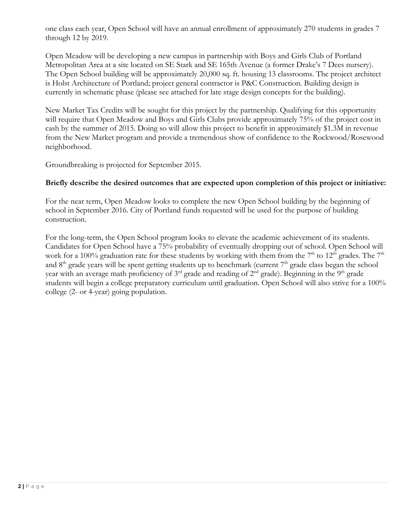one class each year, Open School will have an annual enrollment of approximately 270 students in grades 7 through 12 by 2019.

Open Meadow will be developing a new campus in partnership with Boys and Girls Club of Portland Metropolitan Area at a site located on SE Stark and SE 165th Avenue (a former Drake's 7 Dees nursery). The Open School building will be approximately 20,000 sq. ft. housing 13 classrooms. The project architect is Holst Architecture of Portland; project general contractor is P&C Construction. Building design is currently in schematic phase (please see attached for late stage design concepts for the building).

New Market Tax Credits will be sought for this project by the partnership. Qualifying for this opportunity will require that Open Meadow and Boys and Girls Clubs provide approximately 75% of the project cost in cash by the summer of 2015. Doing so will allow this project to benefit in approximately \$1.3M in revenue from the New Market program and provide a tremendous show of confidence to the Rockwood/Rosewood neighborhood.

Groundbreaking is projected for September 2015.

### **Briefly describe the desired outcomes that are expected upon completion of this project or initiative:**

For the near term, Open Meadow looks to complete the new Open School building by the beginning of school in September 2016. City of Portland funds requested will be used for the purpose of building construction.

For the long-term, the Open School program looks to elevate the academic achievement of its students. Candidates for Open School have a 75% probability of eventually dropping out of school. Open School will work for a 100% graduation rate for these students by working with them from the  $7<sup>th</sup>$  to 12<sup>th</sup> grades. The  $7<sup>th</sup>$ and  $8<sup>th</sup>$  grade years will be spent getting students up to benchmark (current  $7<sup>th</sup>$  grade class began the school year with an average math proficiency of  $3<sup>rd</sup>$  grade and reading of  $2<sup>nd</sup>$  grade). Beginning in the  $9<sup>th</sup>$  grade students will begin a college preparatory curriculum until graduation. Open School will also strive for a 100% college (2- or 4-year) going population.